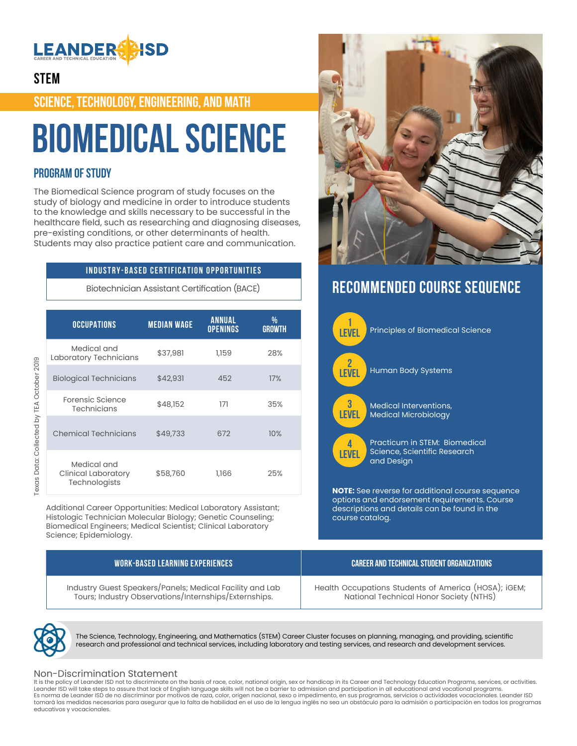

## **STEM**

**SCIENCE, TECHNOLOGY, ENGINEERING, AND MATH**

# **Biomedical Science**

## **PROGRAM OF STUDY**

The Biomedical Science program of study focuses on the study of biology and medicine in order to introduce students to the knowledge and skills necessary to be successful in the healthcare field, such as researching and diagnosing diseases, pre-existing conditions, or other determinants of health. Students may also practice patient care and communication.

## **INDUSTRY-BASED CERTIFICATION OPPORTUNITIES**

Biotechnician Assistant Certification (BACE)

| Texas Data: Collected by TEA October 2019 | <b>OCCUPATIONS</b>                                         | <b>MEDIAN WAGE</b> | <b>ANNUAL</b><br><b>OPENINGS</b> | %<br><b>GROWTH</b> |
|-------------------------------------------|------------------------------------------------------------|--------------------|----------------------------------|--------------------|
|                                           | Medical and<br>Laboratory Technicians                      | \$37,981           | 1,159                            | 28%                |
|                                           | <b>Biological Technicians</b>                              | \$42,931           | 452                              | 17%                |
|                                           | <b>Forensic Science</b><br><b>Technicians</b>              | \$48,152           | 171                              | 35%                |
|                                           | <b>Chemical Technicians</b>                                | \$49,733           | 672                              | 10%                |
|                                           | Medical and<br><b>Clinical Laboratory</b><br>Technologists | \$58,760           | 1,166                            | 25%                |

Additional Career Opportunities: Medical Laboratory Assistant; Histologic Technician Molecular Biology; Genetic Counseling; Biomedical Engineers; Medical Scientist; Clinical Laboratory Science; Epidemiology.





Texas Data: Collected by TEA October 2019

The Science, Technology, Engineering, and Mathematics (STEM) Career Cluster focuses on planning, managing, and providing, scientific research and professional and technical services, including laboratory and testing services, and research and development services.

## Non-Discrimination Statement

It is the policy of Leander ISD not to discriminate on the basis of race, color, national origin, sex or handicap in its Career and Technology Education Programs, services, or activities. Leander ISD will take steps to assure that lack of English language skills will not be a barrier to admission and participation in all educational and vocational programs. Es norma de Leander ISD de no discriminar por motivos de raza, color, origen nacional, sexo o impedimento, en sus programas, servicios o actividades vocacionales. Leander ISD tomará las medidas necesarias para asegurar que la falta de habilidad en el uso de la lengua inglés no sea un obstáculo para la admisión o participación en todos los programas educativos y vocacionales.



# **RECOMMENDED COURSE SEQUENCE**